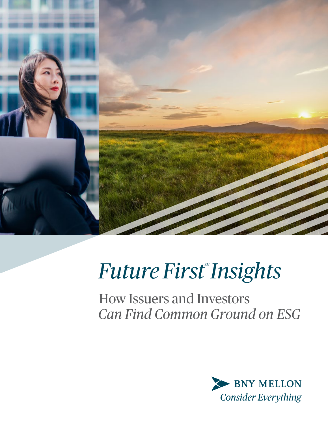

# **Future First Insights**

How Issuers and Investors *Can Find Common Ground on ESG*

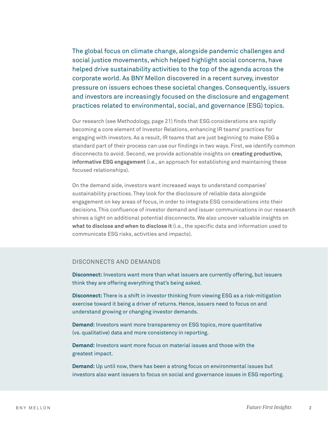The global focus on climate change, alongside pandemic challenges and social justice movements, which helped highlight social concerns, have helped drive sustainability activities to the top of the agenda across the corporate world. As BNY Mellon discovered in a recent survey, investor pressure on issuers echoes these societal changes. Consequently, issuers and investors are increasingly focused on the disclosure and engagement practices related to environmental, social, and governance (ESG) topics.

Our research (see Methodology, page 21) finds that ESG considerations are rapidly becoming a core element of Investor Relations, enhancing IR teams' practices for engaging with investors. As a result, IR teams that are just beginning to make ESG a standard part of their process can use our findings in two ways. First, we identify common disconnects to avoid. Second, we provide actionable insights on **creating productive, informative ESG engagement** (i.e., an approach for establishing and maintaining these focused relationships).

On the demand side, investors want increased ways to understand companies' sustainability practices. They look for the disclosure of reliable data alongside engagement on key areas of focus, in order to integrate ESG considerations into their decisions. This confluence of investor demand and issuer communications in our research shines a light on additional potential disconnects. We also uncover valuable insights on **what to disclose and when to disclose it** (i.e., the specific data and information used to communicate ESG risks, activities and impacts).

#### DISCONNECTS AND DEMANDS

**Disconnect:** Investors want more than what issuers are currently offering, but issuers think they are offering everything that's being asked.

**Disconnect:** There is a shift in investor thinking from viewing ESG as a risk-mitigation exercise toward it being a driver of returns. Hence, issuers need to focus on and understand growing or changing investor demands.

**Demand:** Investors want more transparency on ESG topics, more quantitative (vs. qualitative) data and more consistency in reporting.

**Demand:** Investors want more focus on material issues and those with the greatest impact.

**Demand:** Up until now, there has been a strong focus on environmental issues but investors also want issuers to focus on social and governance issues in ESG reporting.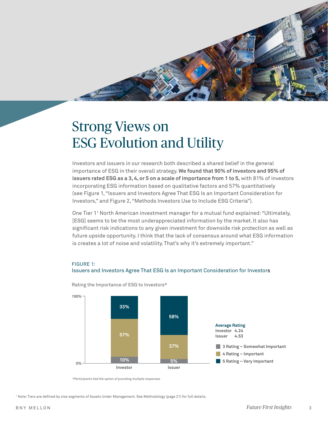# Strong Views on ESG Evolution and Utility

Investors and issuers in our research both described a shared belief in the general importance of ESG in their overall strategy. **We found that 90% of investors and 95% of issuers rated ESG as a 3, 4, or 5 on a scale of importance from 1 to 5,** with 81% of investors incorporating ESG information based on qualitative factors and 57% quantitatively (see Figure 1, "Issuers and Investors Agree That ESG Is an Important Consideration for Investors," and Figure 2, "Methods Investors Use to Include ESG Criteria").

One Tier 11 North American investment manager for a mutual fund explained: "Ultimately, [ESG] seems to be the most underappreciated information by the market.It also has significant risk indications to any given investment for downside risk protection as well as future upside opportunity. I think that the lack of consensus around what ESG information is creates a lot of noise and volatility. That's why it's extremely important."

#### FIGURE 1:





Rating the Importance of ESG to Investors\*

*\*Participants had the option of providing multiple responses*

<sup>1</sup> Note: Tiers are defined by size segments of Assets Under Management. See Methodology (page 21) for full details.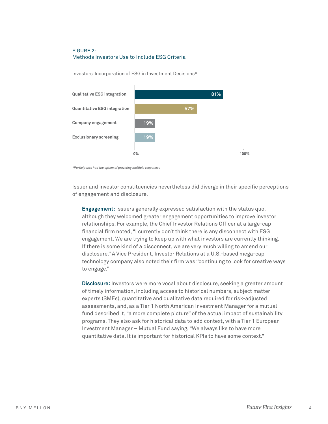#### FIGURE 2: Methods Investors Use to Include ESG Criteria

Investors' Incorporation of ESG in Investment Decisions\*



*\*Participants had the option of providing multiple responses*

Issuer and investor constituencies nevertheless did diverge in their specific perceptions of engagement and disclosure.

**Engagement:** Issuers generally expressed satisfaction with the status quo, although they welcomed greater engagement opportunities to improve investor relationships. For example, the Chief Investor Relations Officer at a large-cap financial firm noted, "I currently don't think there is any disconnect with ESG engagement. We are trying to keep up with what investors are currently thinking. If there is some kind of a disconnect, we are very much willing to amend our disclosure." A Vice President, Investor Relations at a U.S.-based mega-cap technology company also noted their firm was "continuing to look for creative ways to engage."

**Disclosure:** Investors were more vocal about disclosure, seeking a greater amount of timely information, including access to historical numbers, subject matter experts (SMEs), quantitative and qualitative data required for risk-adjusted assessments, and, as a Tier 1 North American Investment Manager for a mutual fund described it, "a more complete picture" of the actual impact of sustainability programs. They also ask for historical data to add context, with a Tier 1 European Investment Manager – Mutual Fund saying, "We always like to have more quantitative data. It is important for historical KPIs to have some context."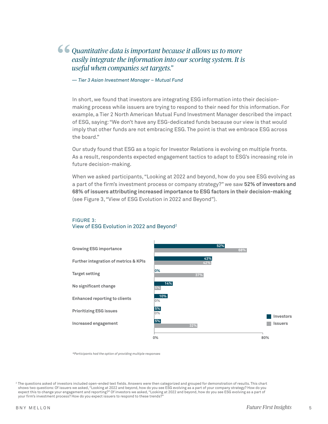### *Quantitative data is important because it allows us to more easily integrate the information into our scoring system. It is useful when companies set targets."* "

*— Tier 3 Asian Investment Manager – Mutual Fund*

In short, we found that investors are integrating ESG information into their decisionmaking process while issuers are trying to respond to their need for this information. For example, a Tier 2 North American Mutual Fund Investment Manager described the impact of ESG, saying: "We don't have any ESG-dedicated funds because our view is that would imply that other funds are not embracing ESG. The point is that we embrace ESG across the board."

Our study found that ESG as a topic for Investor Relations is evolving on multiple fronts. As a result, respondents expected engagement tactics to adapt to ESG's increasing role in future decision-making.

When we asked participants, "Looking at 2022 and beyond, how do you see ESG evolving as a part of the firm's investment process or company strategy?" we saw **52% of investors and 68% of issuers attributing increased importance to ESG factors in their decision-making**  (see Figure 3, "View of ESG Evolution in 2022 and Beyond").



#### FIGURE 3: View of ESG Evolution in 2022 and Beyond2

*\*Participants had the option of providing multiple responses*

<sup>2</sup> The questions asked of investors included open-ended text fields. Answers were then categorized and grouped for demonstration of results. This chart shows two questions: Of issuers we asked, "Looking at 2022 and beyond, how do you see ESG evolving as a part of your company strategy? How do you expect this to change your engagement and reporting?" Of investors we asked, "Looking at 2022 and beyond, how do you see ESG evolving as a part of your firm's investment process? How do you expect issuers to respond to these trends?"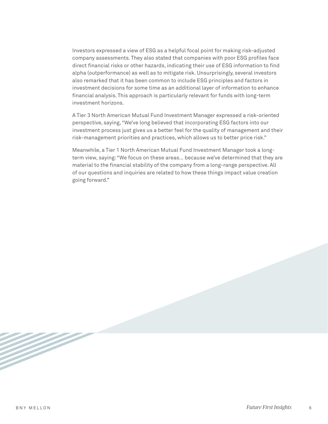Investors expressed a view of ESG as a helpful focal point for making risk-adjusted company assessments. They also stated that companies with poor ESG profiles face direct financial risks or other hazards, indicating their use of ESG information to find alpha (outperformance) as well as to mitigate risk. Unsurprisingly, several investors also remarked that it has been common to include ESG principles and factors in investment decisions for some time as an additional layer of information to enhance financial analysis. This approach is particularly relevant for funds with long-term investment horizons.

A Tier 3 North American Mutual Fund Investment Manager expressed a risk-oriented perspective, saying, "We've long believed that incorporating ESG factors into our investment process just gives us a better feel for the quality of management and their risk-management priorities and practices, which allows us to better price risk."

Meanwhile, a Tier 1 North American Mutual Fund Investment Manager took a longterm view, saying: "We focus on these areas… because we've determined that they are material to the financial stability of the company from a long-range perspective. All of our questions and inquiries are related to how these things impact value creation going forward."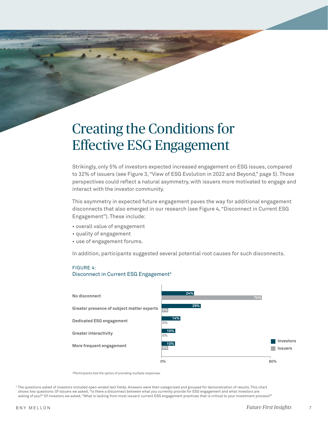## Creating the Conditions for Effective ESG Engagement

Strikingly, only 5% of investors expected increased engagement on ESG issues, compared to 32% of issuers (see Figure 3, "View of ESG Evolution in 2022 and Beyond," page 5). Those perspectives could reflect a natural asymmetry, with issuers more motivated to engage and interact with the investor community.

This asymmetry in expected future engagement paves the way for additional engagement disconnects that also emerged in our research (see Figure 4, "Disconnect in Current ESG Engagement"). These include:

- overall value of engagement
- quality of engagement
- use of engagement forums.

In addition, participants suggested several potential root causes for such disconnects.

#### FIGURE 4:

#### Disconnect in Current ESG Engagement<sup>3</sup>



*\*Participants had the option of providing multiple responses*

<sup>3</sup> The questions asked of investors included open-ended text fields. Answers were then categorized and grouped for demonstration of results. This chart shows two questions: Of issuers we asked, "Is there a disconnect between what you currently provide for ESG engagement and what investors are asking of you?" Of investors we asked, "What is lacking from most issuers' current ESG engagement practices that is critical to your investment process?"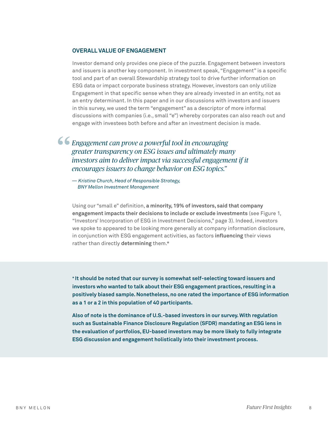#### **OVERALL VALUE OF ENGAGEMENT**

Investor demand only provides one piece of the puzzle. Engagement between investors and issuers is another key component. In investment speak, "Engagement" is a specific tool and part of an overall Stewardship strategy tool to drive further information on ESG data or impact corporate business strategy. However, investors can only utilize Engagement in that specific sense when they are already invested in an entity, not as an entry determinant. In this paper and in our discussions with investors and issuers in this survey, we used the term "engagement" as a descriptor of more informal discussions with companies (i.e., small "e") whereby corporates can also reach out and engage with investees both before and after an investment decision is made.

*Engagement can prove a powerful tool in encouraging greater transparency on ESG issues and ultimately many investors aim to deliver impact via successful engagement if it encourages issuers to change behavior on ESG topics."* "

*— Kristina Church, Head of Responsible Strategy, BNY Mellon Investment Management* 

Using our "small e" definition, **a minority, 19% of investors, said that company engagement impacts their decisions to include or exclude investments** (see Figure 1, "Investors' Incorporation of ESG in Investment Decisions," page 3). Indeed, investors we spoke to appeared to be looking more generally at company information disclosure, in conjunction with ESG engagement activities, as factors **influencing** their views rather than directly **determining** them.\*

**\* It should be noted that our survey is somewhat self-selecting toward issuers and investors who wanted to talk about their ESG engagement practices, resulting in a positively biased sample. Nonetheless, no one rated the importance of ESG information as a 1 or a 2 in this population of 40 participants.**

**Also of note is the dominance of U.S.-based investors in our survey. With regulation such as Sustainable Finance Disclosure Regulation (SFDR) mandating an ESG lens in the evaluation of portfolios, EU-based investors may be more likely to fully integrate ESG discussion and engagement holistically into their investment process.**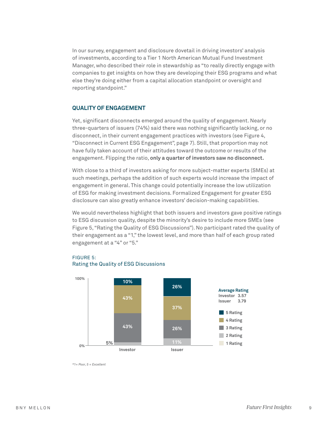In our survey, engagement and disclosure dovetail in driving investors' analysis of investments, according to a Tier 1 North American Mutual Fund Investment Manager, who described their role in stewardship as "to really directly engage with companies to get insights on how they are developing their ESG programs and what else they're doing either from a capital allocation standpoint or oversight and reporting standpoint."

#### **QUALITY OF ENGAGEMENT**

Yet, significant disconnects emerged around the quality of engagement. Nearly three-quarters of issuers (74%) said there was nothing significantly lacking, or no disconnect, in their current engagement practices with investors (see Figure 4, "Disconnect in Current ESG Engagement", page 7). Still, that proportion may not have fully taken account of their attitudes toward the outcome or results of the engagement. Flipping the ratio, **only a quarter of investors saw no disconnect.**

With close to a third of investors asking for more subject-matter experts (SMEs) at such meetings, perhaps the addition of such experts would increase the impact of engagement in general. This change could potentially increase the low utilization of ESG for making investment decisions. Formalized Engagement for greater ESG disclosure can also greatly enhance investors' decision-making capabilities.

We would nevertheless highlight that both issuers and investors gave positive ratings to ESG discussion quality, despite the minority's desire to include more SMEs (see Figure 5, "Rating the Quality of ESG Discussions"). No participant rated the quality of their engagement as a "1," the lowest level, and more than half of each group rated engagement at a "4" or "5."

#### FIGURE 5: Rating the Quality of ESG Discussions



*\*1= Poor, 5 = Excellent*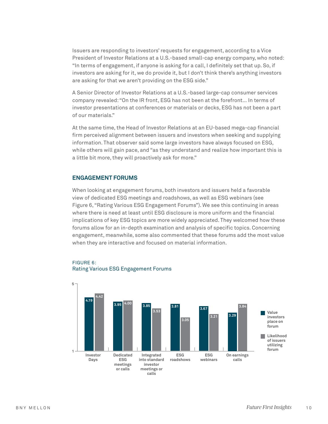Issuers are responding to investors' requests for engagement, according to a Vice President of Investor Relations at a U.S.-based small-cap energy company, who noted: "In terms of engagement, if anyone is asking for a call, I definitely set that up. So, if investors are asking for it, we do provide it, but I don't think there's anything investors are asking for that we aren't providing on the ESG side."

A Senior Director of Investor Relations at a U.S.-based large-cap consumer services company revealed: "On the IR front, ESG has not been at the forefront… In terms of investor presentations at conferences or materials or decks, ESG has not been a part of our materials."

At the same time, the Head of Investor Relations at an EU-based mega-cap financial firm perceived alignment between issuers and investors when seeking and supplying information. That observer said some large investors have always focused on ESG, while others will gain pace, and "as they understand and realize how important this is a little bit more, they will proactively ask for more."

#### **ENGAGEMENT FORUMS**

When looking at engagement forums, both investors and issuers held a favorable view of dedicated ESG meetings and roadshows, as well as ESG webinars (see Figure 6, "Rating Various ESG Engagement Forums"). We see this continuing in areas where there is need at least until ESG disclosure is more uniform and the financial implications of key ESG topics are more widely appreciated. They welcomed how these forums allow for an in-depth examination and analysis of specific topics. Concerning engagement, meanwhile, some also commented that these forums add the most value when they are interactive and focused on material information.



#### FIGURE 6: Rating Various ESG Engagement Forums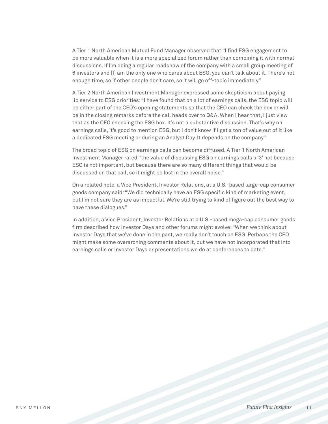A Tier 1 North American Mutual Fund Manager observed that "I find ESG engagement to be more valuable when it is a more specialized forum rather than combining it with normal discussions. If I'm doing a regular roadshow of the company with a small group meeting of 6 investors and [I] am the only one who cares about ESG, you can't talk about it. There's not enough time, so if other people don't care, so it will go off-topic immediately."

A Tier 2 North American Investment Manager expressed some skepticism about paying lip service to ESG priorities: "I have found that on a lot of earnings calls, the ESG topic will be either part of the CEO's opening statements so that the CEO can check the box or will be in the closing remarks before the call heads over to Q&A. When I hear that, I just view that as the CEO checking the ESG box. It's not a substantive discussion. That's why on earnings calls, it's good to mention ESG, but I don't know if I get a ton of value out of it like a dedicated ESG meeting or during an Analyst Day. It depends on the company."

The broad topic of ESG on earnings calls can become diffused. A Tier 1 North American Investment Manager rated "the value of discussing ESG on earnings calls a '3' not because ESG is not important, but because there are so many different things that would be discussed on that call, so it might be lost in the overall noise."

On a related note, a Vice President, Investor Relations, at a U.S.-based large-cap consumer goods company said: "We did technically have an ESG specific kind of marketing event, but I'm not sure they are as impactful. We're still trying to kind of figure out the best way to have these dialogues."

In addition, a Vice President, Investor Relations at a U.S.-based mega-cap consumer goods firm described how Investor Days and other forums might evolve: "When we think about Investor Days that we've done in the past, we really don't touch on ESG. Perhaps the CEO might make some overarching comments about it, but we have not incorporated that into earnings calls or Investor Days or presentations we do at conferences to date."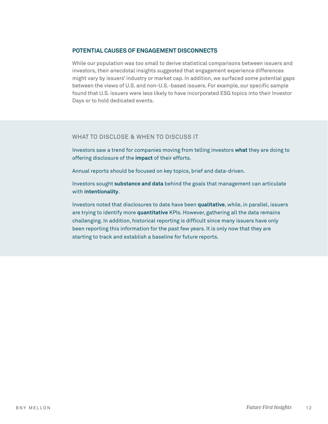#### **POTENTIAL CAUSES OF ENGAGEMENT DISCONNECTS**

While our population was too small to derive statistical comparisons between issuers and investors, their anecdotal insights suggested that engagement experience differences might vary by issuers' industry or market cap. In addition, we surfaced some potential gaps between the views of U.S. and non-U.S.-based issuers. For example, our specific sample found that U.S. issuers were less likely to have incorporated ESG topics into their Investor Days or to hold dedicated events.

#### WHAT TO DISCLOSE & WHEN TO DISCUSS IT

Investors saw a trend for companies moving from telling investors **what** they are doing to offering disclosure of the **impact** of their efforts.

Annual reports should be focused on key topics, brief and data-driven.

Investors sought **substance and data** behind the goals that management can articulate with **intentionality**.

Investors noted that disclosures to date have been **qualitative**, while, in parallel, issuers are trying to identify more **quantitative** KPIs. However, gathering all the data remains challenging. In addition, historical reporting is difficult since many issuers have only been reporting this information for the past few years. It is only now that they are starting to track and establish a baseline for future reports.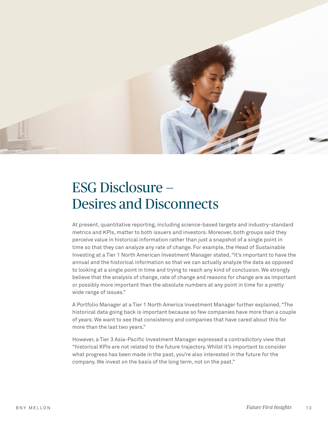

### ESG Disclosure — Desires and Disconnects

At present, quantitative reporting, including science-based targets and industry-standard metrics and KPIs, matter to both issuers and investors. Moreover, both groups said they perceive value in historical information rather than just a snapshot of a single point in time so that they can analyze any rate of change. For example, the Head of Sustainable Investing at a Tier 1 North American Investment Manager stated, "It's important to have the annual and the historical information so that we can actually analyze the data as opposed to looking at a single point in time and trying to reach any kind of conclusion. We strongly believe that the analysis of change, rate of change and reasons for change are as important or possibly more important than the absolute numbers at any point in time for a pretty wide range of issues."

A Portfolio Manager at a Tier 1 North America Investment Manager further explained, "The historical data going back is important because so few companies have more than a couple of years. We want to see that consistency and companies that have cared about this for more than the last two years."

However, a Tier 3 Asia-Pacific Investment Manager expressed a contradictory view that "historical KPIs are not related to the future trajectory. Whilst it's important to consider what progress has been made in the past, you're also interested in the future for the company. We invest on the basis of the long term, not on the past."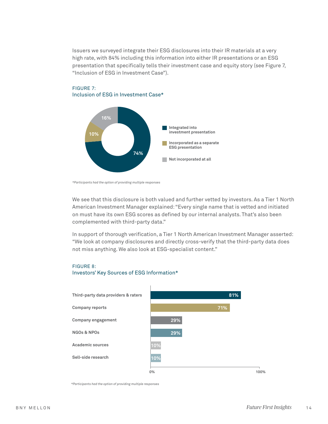Issuers we surveyed integrate their ESG disclosures into their IR materials at a very high rate, with 84% including this information into either IR presentations or an ESG presentation that specifically tells their investment case and equity story (see Figure 7, "Inclusion of ESG in Investment Case").



#### FIGURE 7: Inclusion of ESG in Investment Case\*

We see that this disclosure is both valued and further vetted by investors. As a Tier 1 North American Investment Manager explained: "Every single name that is vetted and initiated on must have its own ESG scores as defined by our internal analysts. That's also been complemented with third-party data."

In support of thorough verification, a Tier 1 North American Investment Manager asserted: "We look at company disclosures and directly cross-verify that the third-party data does not miss anything. We also look at ESG-specialist content."

#### FIGURE 8:

#### Investors' Key Sources of ESG Information\*



*\*Participants had the option of providing multiple responses*

*<sup>\*</sup>Participants had the option of providing multiple responses*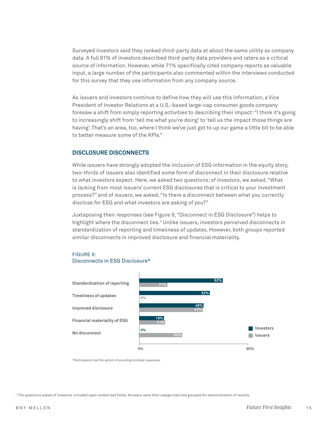Surveyed investors said they ranked third-party data at about the same utility as company data. A full 81% of investors described third-party data providers and raters as a critical source of information. However, while 71% specifically cited company reports as valuable input, a large number of the participants also commented within the interviews conducted for this survey that they use information from any company source.

As issuers and investors continue to define how they will use this information, a Vice President of Investor Relations at a U.S.-based large-cap consumer goods company foresaw a shift from simply reporting activities to describing their impact: "I think it's going to increasingly shift from 'tell me what you're doing' to 'tell us the impact those things are having'. That's an area, too, where I think we've just got to up our game a little bit to be able to better measure some of the KPIs."

#### **DISCLOSURE DISCONNECTS**

While issuers have strongly adopted the inclusion of ESG information in the equity story, two-thirds of issuers also identified some form of disconnect in their disclosure relative to what investors expect. Here, we asked two questions: of investors, we asked, "What is lacking from most issuers' current ESG disclosures that is critical to your investment process?" and of issuers, we asked, "Is there a disconnect between what you currently disclose for ESG and what investors are asking of you?"

Juxtaposing their responses (see Figure 9, "Disconnect in ESG Disclosure") helps to highlight where the disconnect lies.4 Unlike issuers, investors perceived disconnects in standardization of reporting and timeliness of updates. However, both groups reported similar disconnects in improved disclosure and financial materiality.

#### FIGURE 9: Disconnects in ESG Disclosure\*



*\*Participants had the option of providing multiple responses*

<sup>4</sup> The questions asked of investors included open-ended text fields. Answers were then categorized and grouped for demonstration of results.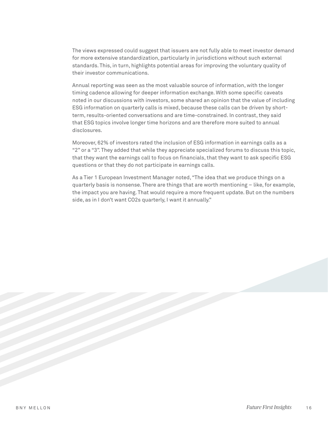The views expressed could suggest that issuers are not fully able to meet investor demand for more extensive standardization, particularly in jurisdictions without such external standards. This, in turn, highlights potential areas for improving the voluntary quality of their investor communications.

Annual reporting was seen as the most valuable source of information, with the longer timing cadence allowing for deeper information exchange. With some specific caveats noted in our discussions with investors, some shared an opinion that the value of including ESG information on quarterly calls is mixed, because these calls can be driven by shortterm, results-oriented conversations and are time-constrained. In contrast, they said that ESG topics involve longer time horizons and are therefore more suited to annual disclosures.

Moreover, 62% of investors rated the inclusion of ESG information in earnings calls as a "2" or a "3". They added that while they appreciate specialized forums to discuss this topic, that they want the earnings call to focus on financials, that they want to ask specific ESG questions or that they do not participate in earnings calls.

As a Tier 1 European Investment Manager noted, "The idea that we produce things on a quarterly basis is nonsense. There are things that are worth mentioning – like, for example, the impact you are having. That would require a more frequent update. But on the numbers side, as in I don't want CO2s quarterly, I want it annually."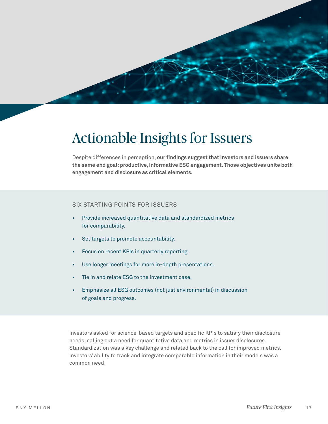

### Actionable Insights for Issuers

Despite differences in perception, **our findings suggest that investors and issuers share the same end goal: productive, informative ESG engagement. Those objectives unite both engagement and disclosure as critical elements.**

#### SIX STARTING POINTS FOR ISSUERS

- Provide increased quantitative data and standardized metrics for comparability.
- Set targets to promote accountability.
- Focus on recent KPIs in quarterly reporting.
- Use longer meetings for more in-depth presentations.
- Tie in and relate ESG to the investment case.
- Emphasize all ESG outcomes (not just environmental) in discussion of goals and progress.

Investors asked for science-based targets and specific KPIs to satisfy their disclosure needs, calling out a need for quantitative data and metrics in issuer disclosures. Standardization was a key challenge and related back to the call for improved metrics. Investors' ability to track and integrate comparable information in their models was a common need.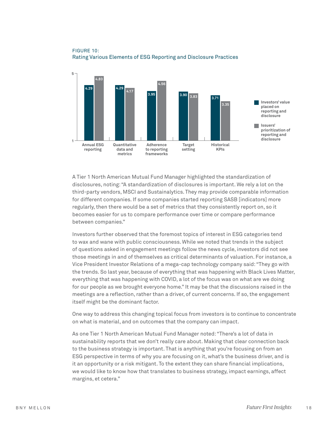

#### FIGURE 10: Rating Various Elements of ESG Reporting and Disclosure Practices

A Tier 1 North American Mutual Fund Manager highlighted the standardization of disclosures, noting: "A standardization of disclosures is important. We rely a lot on the third-party vendors, MSCI and Sustainalytics. They may provide comparable information for different companies. If some companies started reporting SASB [indicators] more regularly, then there would be a set of metrics that they consistently report on, so it becomes easier for us to compare performance over time or compare performance between companies."

Investors further observed that the foremost topics of interest in ESG categories tend to wax and wane with public consciousness. While we noted that trends in the subject of questions asked in engagement meetings follow the news cycle, investors did not see those meetings in and of themselves as critical determinants of valuation. For instance, a Vice President Investor Relations of a mega-cap technology company said: "They go with the trends. So last year, because of everything that was happening with Black Lives Matter, everything that was happening with COVID, a lot of the focus was on what are we doing for our people as we brought everyone home." It may be that the discussions raised in the meetings are a reflection, rather than a driver, of current concerns. If so, the engagement itself might be the dominant factor.

One way to address this changing topical focus from investors is to continue to concentrate on what is material, and on outcomes that the company can impact.

As one Tier 1 North American Mutual Fund Manager noted: "There's a lot of data in sustainability reports that we don't really care about. Making that clear connection back to the business strategy is important. That is anything that you're focusing on from an ESG perspective in terms of why you are focusing on it, what's the business driver, and is it an opportunity or a risk mitigant. To the extent they can share financial implications, we would like to know how that translates to business strategy, impact earnings, affect margins, et cetera."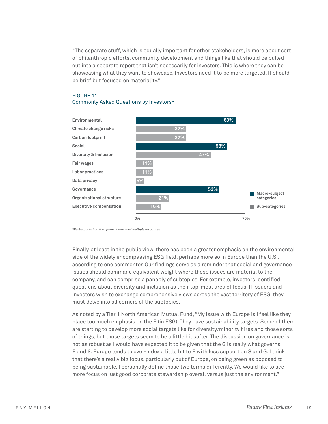"The separate stuff, which is equally important for other stakeholders, is more about sort of philanthropic efforts, community development and things like that should be pulled out into a separate report that isn't necessarily for investors. This is where they can be showcasing what they want to showcase. Investors need it to be more targeted. It should be brief but focused on materiality."

#### FIGURE 11: Commonly Asked Questions by Investors\*



*\*Participants had the option of providing multiple responses*

Finally, at least in the public view, there has been a greater emphasis on the environmental side of the widely encompassing ESG field, perhaps more so in Europe than the U.S., according to one commenter. Our findings serve as a reminder that social and governance issues should command equivalent weight where those issues are material to the company, and can comprise a panoply of subtopics. For example, investors identified questions about diversity and inclusion as their top-most area of focus. If issuers and investors wish to exchange comprehensive views across the vast territory of ESG, they must delve into all corners of the subtopics.

As noted by a Tier 1 North American Mutual Fund, "My issue with Europe is I feel like they place too much emphasis on the E (in ESG). They have sustainability targets. Some of them are starting to develop more social targets like for diversity/minority hires and those sorts of things, but those targets seem to be a little bit softer. The discussion on governance is not as robust as I would have expected it to be given that the G is really what governs E and S. Europe tends to over-index a little bit to E with less support on S and G. I think that there's a really big focus, particularly out of Europe, on being green as opposed to being sustainable. I personally define those two terms differently. We would like to see more focus on just good corporate stewardship overall versus just the environment."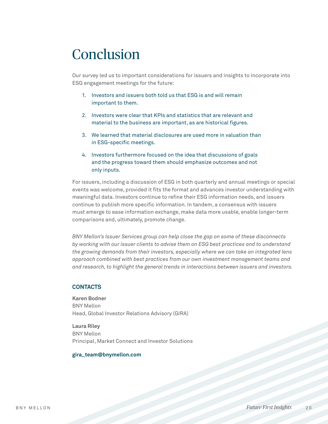### Conclusion

Our survey led us to important considerations for issuers and insights to incorporate into ESG engagement meetings for the future:

- 1. Investors and issuers both told us that ESG is and will remain important to them.
- 2. Investors were clear that KPIs and statistics that are relevant and material to the business are important, as are historical figures.
- 3. We learned that material disclosures are used more in valuation than in ESG-specific meetings.
- 4. Investors furthermore focused on the idea that discussions of goals and the progress toward them should emphasize outcomes and not only inputs.

For issuers, including a discussion of ESG in both quarterly and annual meetings or special events was welcome, provided it fits the format and advances investor understanding with meaningful data. Investors continue to refine their ESG information needs, and issuers continue to publish more specific information. In tandem, a consensus with issuers must emerge to ease information exchange, make data more usable, enable longer-term comparisons and, ultimately, promote change.

*BNY Mellon's Issuer Services group can help close the gap on some of these disconnects by working with our issuer clients to advise them on ESG best practices and to understand the growing demands from their investors, especially where we can take an integrated lens approach combined with best practices from our own investment management teams and and research, to highlight the general trends in interactions between issuers and investors.*

#### **CONTACTS**

**Karen Bodner** BNY Mellon Head, Global Investor Relations Advisory (GIRA)

**Laura Riley** BNY Mellon Principal, Market Connect and Investor Solutions

#### **gira\_team@bnymellon.com**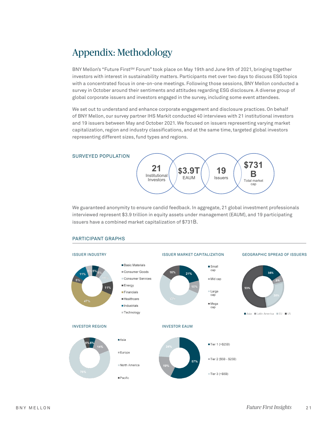### Appendix: Methodology

BNY Mellon's "Future First<sup>SM</sup> Forum" took place on May 19th and June 9th of 2021, bringing together investors with interest in sustainability matters. Participants met over two days to discuss ESG topics with a concentrated focus in one-on-one meetings. Following those sessions, BNY Mellon conducted a survey in October around their sentiments and attitudes regarding ESG disclosure. A diverse group of global corporate issuers and investors engaged in the survey, including some event attendees.

We set out to understand and enhance corporate engagement and disclosure practices. On behalf of BNY Mellon, our survey partner IHS Markit conducted 40 interviews with 21 institutional investors and 19 issuers between May and October 2021. We focused on issuers representing varying market capitalization, region and industry classifications, and at the same time, targeted global investors representing different sizes, fund types and regions.



We guaranteed anonymity to ensure candid feedback. In aggregate, 21 global investment professionals interviewed represent \$3.9 trillion in equity assets under management (EAUM), and 19 participating issuers have a combined market capitalization of \$731B.



#### PARTICIPANT GRAPHS